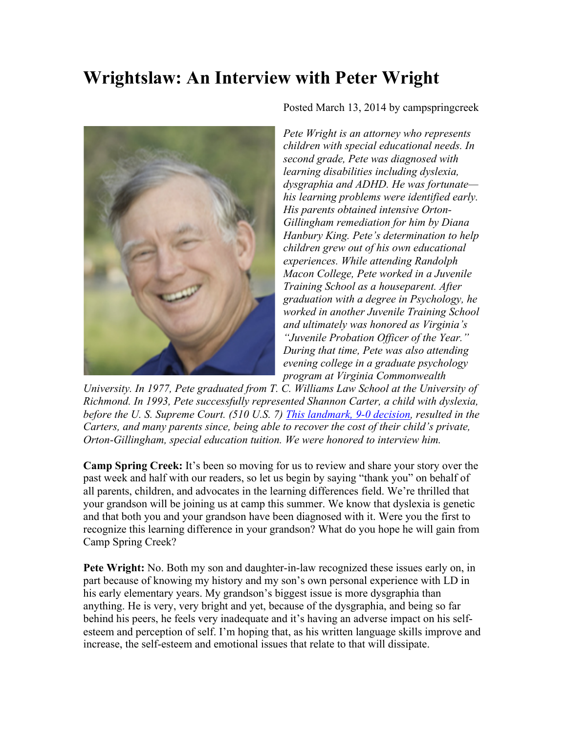## **Wrightslaw: An Interview with Peter Wright**



Posted March 13, 2014 by campspringcreek

*Pete Wright is an attorney who represents children with special educational needs. In second grade, Pete was diagnosed with learning disabilities including dyslexia, dysgraphia and ADHD. He was fortunate his learning problems were identified early. His parents obtained intensive Orton-Gillingham remediation for him by Diana Hanbury King. Pete's determination to help children grew out of his own educational experiences. While attending Randolph Macon College, Pete worked in a Juvenile Training School as a houseparent. After graduation with a degree in Psychology, he worked in another Juvenile Training School and ultimately was honored as Virginia's "Juvenile Probation Officer of the Year." During that time, Pete was also attending evening college in a graduate psychology program at Virginia Commonwealth* 

*University. In 1977, Pete graduated from T. C. Williams Law School at the University of Richmond. In 1993, Pete successfully represented Shannon Carter, a child with dyslexia, before the U. S. Supreme Court. (510 U.S. 7) This landmark, 9-0 decision, resulted in the Carters, and many parents since, being able to recover the cost of their child's private, Orton-Gillingham, special education tuition. We were honored to interview him.*

**Camp Spring Creek:** It's been so moving for us to review and share your story over the past week and half with our readers, so let us begin by saying "thank you" on behalf of all parents, children, and advocates in the learning differences field. We're thrilled that your grandson will be joining us at camp this summer. We know that dyslexia is genetic and that both you and your grandson have been diagnosed with it. Were you the first to recognize this learning difference in your grandson? What do you hope he will gain from Camp Spring Creek?

**Pete Wright:** No. Both my son and daughter-in-law recognized these issues early on, in part because of knowing my history and my son's own personal experience with LD in his early elementary years. My grandson's biggest issue is more dysgraphia than anything. He is very, very bright and yet, because of the dysgraphia, and being so far behind his peers, he feels very inadequate and it's having an adverse impact on his selfesteem and perception of self. I'm hoping that, as his written language skills improve and increase, the self-esteem and emotional issues that relate to that will dissipate.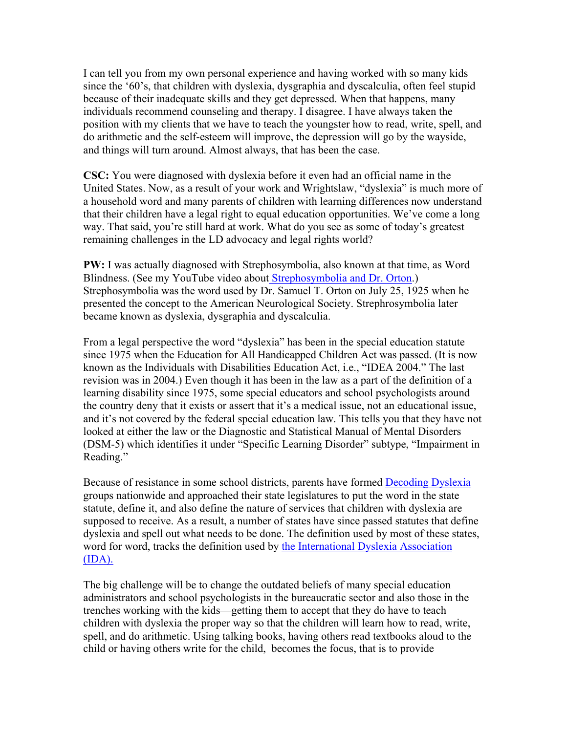I can tell you from my own personal experience and having worked with so many kids since the '60's, that children with dyslexia, dysgraphia and dyscalculia, often feel stupid because of their inadequate skills and they get depressed. When that happens, many individuals recommend counseling and therapy. I disagree. I have always taken the position with my clients that we have to teach the youngster how to read, write, spell, and do arithmetic and the self-esteem will improve, the depression will go by the wayside, and things will turn around. Almost always, that has been the case.

**CSC:** You were diagnosed with dyslexia before it even had an official name in the United States. Now, as a result of your work and Wrightslaw, "dyslexia" is much more of a household word and many parents of children with learning differences now understand that their children have a legal right to equal education opportunities. We've come a long way. That said, you're still hard at work. What do you see as some of today's greatest remaining challenges in the LD advocacy and legal rights world?

**PW:** I was actually diagnosed with Strephosymbolia, also known at that time, as Word Blindness. (See my YouTube video about Strephosymbolia and Dr. Orton.) Strephosymbolia was the word used by Dr. Samuel T. Orton on July 25, 1925 when he presented the concept to the American Neurological Society. Strephrosymbolia later became known as dyslexia, dysgraphia and dyscalculia.

From a legal perspective the word "dyslexia" has been in the special education statute since 1975 when the Education for All Handicapped Children Act was passed. (It is now known as the Individuals with Disabilities Education Act, i.e., "IDEA 2004." The last revision was in 2004.) Even though it has been in the law as a part of the definition of a learning disability since 1975, some special educators and school psychologists around the country deny that it exists or assert that it's a medical issue, not an educational issue, and it's not covered by the federal special education law. This tells you that they have not looked at either the law or the Diagnostic and Statistical Manual of Mental Disorders (DSM-5) which identifies it under "Specific Learning Disorder" subtype, "Impairment in Reading."

Because of resistance in some school districts, parents have formed Decoding Dyslexia groups nationwide and approached their state legislatures to put the word in the state statute, define it, and also define the nature of services that children with dyslexia are supposed to receive. As a result, a number of states have since passed statutes that define dyslexia and spell out what needs to be done. The definition used by most of these states, word for word, tracks the definition used by the International Dyslexia Association (IDA).

The big challenge will be to change the outdated beliefs of many special education administrators and school psychologists in the bureaucratic sector and also those in the trenches working with the kids—getting them to accept that they do have to teach children with dyslexia the proper way so that the children will learn how to read, write, spell, and do arithmetic. Using talking books, having others read textbooks aloud to the child or having others write for the child, becomes the focus, that is to provide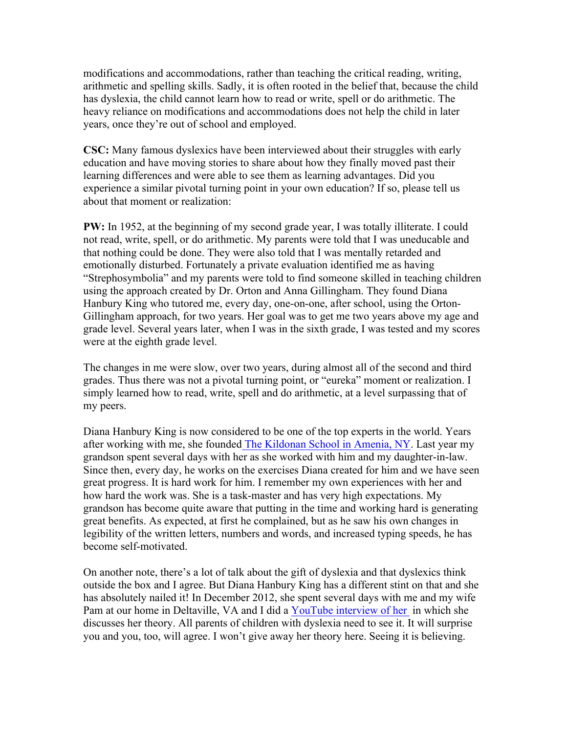modifications and accommodations, rather than teaching the critical reading, writing, arithmetic and spelling skills. Sadly, it is often rooted in the belief that, because the child has dyslexia, the child cannot learn how to read or write, spell or do arithmetic. The heavy reliance on modifications and accommodations does not help the child in later years, once they're out of school and employed.

**CSC:** Many famous dyslexics have been interviewed about their struggles with early education and have moving stories to share about how they finally moved past their learning differences and were able to see them as learning advantages. Did you experience a similar pivotal turning point in your own education? If so, please tell us about that moment or realization:

**PW:** In 1952, at the beginning of my second grade year, I was totally illiterate. I could not read, write, spell, or do arithmetic. My parents were told that I was uneducable and that nothing could be done. They were also told that I was mentally retarded and emotionally disturbed. Fortunately a private evaluation identified me as having "Strephosymbolia" and my parents were told to find someone skilled in teaching children using the approach created by Dr. Orton and Anna Gillingham. They found Diana Hanbury King who tutored me, every day, one-on-one, after school, using the Orton-Gillingham approach, for two years. Her goal was to get me two years above my age and grade level. Several years later, when I was in the sixth grade, I was tested and my scores were at the eighth grade level.

The changes in me were slow, over two years, during almost all of the second and third grades. Thus there was not a pivotal turning point, or "eureka" moment or realization. I simply learned how to read, write, spell and do arithmetic, at a level surpassing that of my peers.

Diana Hanbury King is now considered to be one of the top experts in the world. Years after working with me, she founded The Kildonan School in Amenia, NY. Last year my grandson spent several days with her as she worked with him and my daughter-in-law. Since then, every day, he works on the exercises Diana created for him and we have seen great progress. It is hard work for him. I remember my own experiences with her and how hard the work was. She is a task-master and has very high expectations. My grandson has become quite aware that putting in the time and working hard is generating great benefits. As expected, at first he complained, but as he saw his own changes in legibility of the written letters, numbers and words, and increased typing speeds, he has become self-motivated.

On another note, there's a lot of talk about the gift of dyslexia and that dyslexics think outside the box and I agree. But Diana Hanbury King has a different stint on that and she has absolutely nailed it! In December 2012, she spent several days with me and my wife Pam at our home in Deltaville, VA and I did a YouTube interview of her in which she discusses her theory. All parents of children with dyslexia need to see it. It will surprise you and you, too, will agree. I won't give away her theory here. Seeing it is believing.